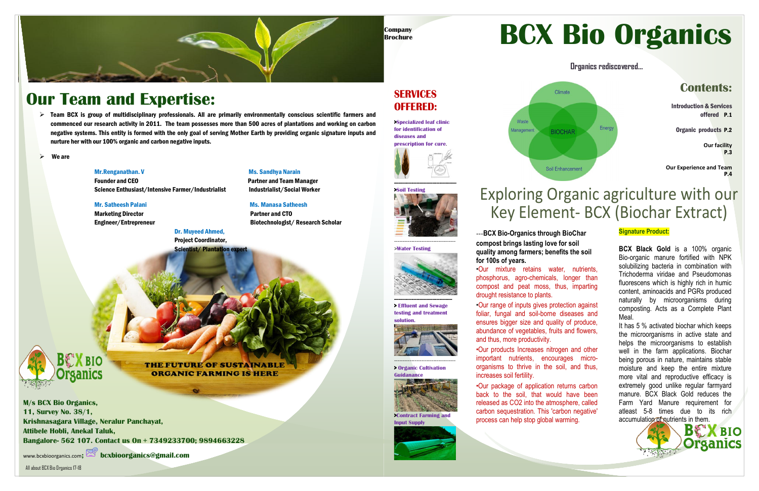#### **SERVICES OFFERED:**

**>Specialized leaf clinic for identification of diseases and prescription for cure**.







**-----------------------------------------**



**> Effluent and Sewage testing and treatment solution.**

------------------------------------

**> Organic Cultivation Guidanance**



**>Contract Farming and Input Supply**







**Organics rediscovered…**

All about BCX Bio Organics 17-18

**M/s BCX Bio Organics, 11, Survey No. 38/1, Krishnasagara Village, Neralur Panchayat, Attibele Hobli, Anekal Taluk, Bangalore- 562 107. Contact us On + 7349233700; 9894663228**

[www.bcxbioorganics.com](http://www.bcxbioorganics.com/)**; bcxbioorganics@gmail.com**

### **Our Team and Expertise:**

#### **Contents:**

Introduction & Services offered P.1

Organic products P.2

**Our facility** P.3

**Our Experience and Team** P.4

## Exploring Organic agriculture with our Key Element- BCX (Biochar Extract)

---**BCX Bio-Organics through BioChar compost brings lasting love for soil quality among farmers; benefits the soil for 100s of years.**

> It has 5 % activated biochar which keeps the microorganisms in active state and helps the microorganisms to establish well in the farm applications. Biochar being porous in nature, maintains stable moisture and keep the entire mixture more vital and reproductive efficacy is extremely good unlike regular farmyard manure. BCX Black Gold reduces the Farm Yard Manure requirement for atleast 5-8 times due to its rich accumulation of nutrients in them.

•Our mixture retains water, nutrients, phosphorus, agro-chemicals, longer than compost and peat moss, thus, imparting drought resistance to plants.

•Our range of inputs gives protection against foliar, fungal and soil-borne diseases and ensures bigger size and quality of produce, abundance of vegetables, fruits and flowers, and thus, more productivity.

 $\triangleright$  Team BCX is group of multidisciplinary professionals. All are primarily environmentally conscious scientific farmers and commenced our research activity in 2011. The team possesses more than 500 acres of plantations and working on carbon negative systems. This entity is formed with the only goal of serving Mother Earth by providing organic signature inputs and nurture her with our 100% organic and carbon negative inputs.

> •Our products Increases nitrogen and other important nutrients, encourages microorganisms to thrive in the soil, and thus, increases soil fertility.

 Founder and CEO Partner and Team Manager Science Enthusiast/Intensive Farmer/Industrialist **Industrialist/Social Worker** 

#### Mr. Satheesh Palani Manasa Satheesh Ms. Manasa Satheesh

Marketing Director **Partner and CTO** 

 Dr. Muyeed Ahmed, Project Coordinator, **Scientist/Plantation expert** 

> •Our package of application returns carbon back to the soil, that would have been released as CO2 into the atmosphere, called carbon sequestration. This 'carbon negative' process can help stop global warming.

# **BCX Bio Organics**

#### **Signature Product:**

**BCX Black Gold** is a 100% organic Bio-organic manure fortified with NPK solubilizing bacteria in combination with Trichoderma viridae and Pseudomonas fluorescens which is highly rich in humic content, aminoacids and PGRs produced naturally by microorganisms during composting. Acts as a Complete Plant Meal.

We are

#### Mr.Renganathan. V Ms. Sandhya Narain

Engineer/Entrepreneur Biotechnologist/ Research Scholar



**THE FUTURE OF SUSTAINABLE ORGANIC FARMING IS HERE**